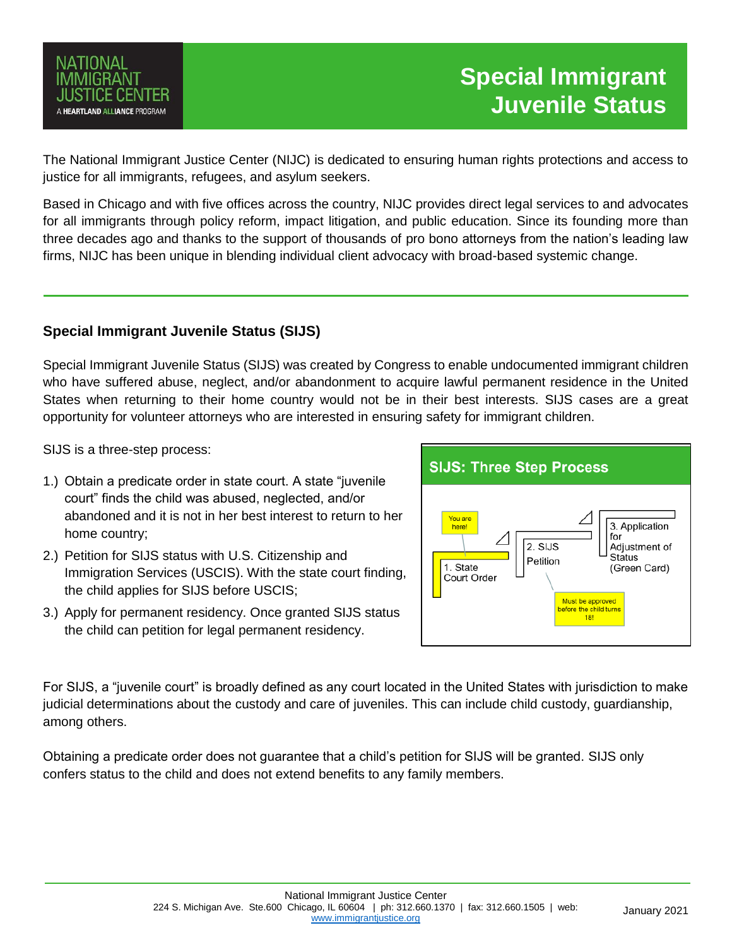

# **Special Immigrant Juvenile Status**

The National Immigrant Justice Center (NIJC) is dedicated to ensuring human rights protections and access to justice for all immigrants, refugees, and asylum seekers.

Based in Chicago and with five offices across the country, NIJC provides direct legal services to and advocates for all immigrants through policy reform, impact litigation, and public education. Since its founding more than three decades ago and thanks to the support of thousands of pro bono attorneys from the nation's leading law firms, NIJC has been unique in blending individual client advocacy with broad-based systemic change.

### **Special Immigrant Juvenile Status (SIJS)**

Special Immigrant Juvenile Status (SIJS) was created by Congress to enable undocumented immigrant children who have suffered abuse, neglect, and/or abandonment to acquire lawful permanent residence in the United States when returning to their home country would not be in their best interests. SIJS cases are a great opportunity for volunteer attorneys who are interested in ensuring safety for immigrant children.

SIJS is a three-step process:

- 1.) Obtain a predicate order in state court. A state "juvenile court" finds the child was abused, neglected, and/or abandoned and it is not in her best interest to return to her home country;
- 2.) Petition for SIJS status with U.S. Citizenship and Immigration Services (USCIS). With the state court finding, the child applies for SIJS before USCIS;
- 3.) Apply for permanent residency. Once granted SIJS status the child can petition for legal permanent residency.



For SIJS, a "juvenile court" is broadly defined as any court located in the United States with jurisdiction to make judicial determinations about the custody and care of juveniles. This can include child custody, guardianship, among others.

Obtaining a predicate order does not guarantee that a child's petition for SIJS will be granted. SIJS only confers status to the child and does not extend benefits to any family members.